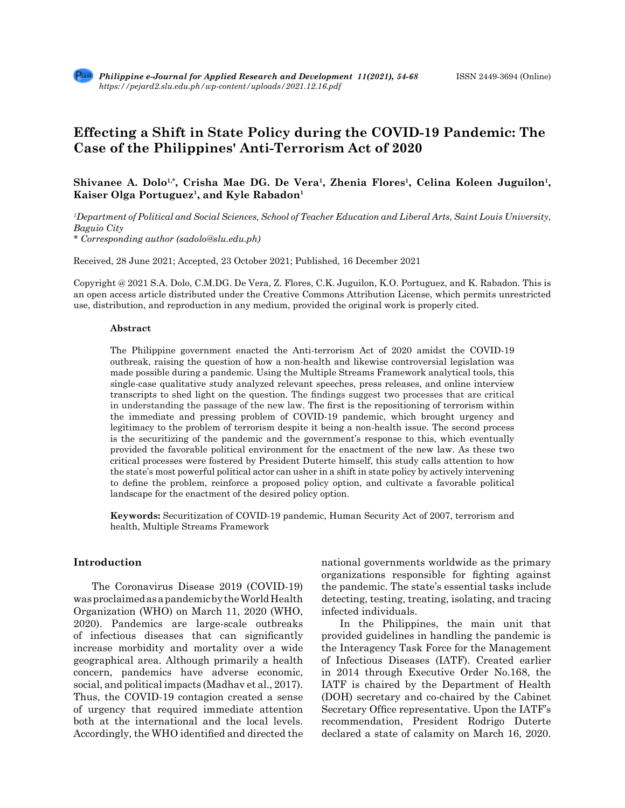# **Effecting a Shift in State Policy during the COVID-19 Pandemic: The Case of the Philippines' Anti-Terrorism Act of 2020**

Shivanee A. Dolo<sup>1,\*</sup>, Crisha Mae DG. De Vera<sup>1</sup>, Zhenia Flores<sup>1</sup>, Celina Koleen Juguilon<sup>1</sup>, Kaiser Olga Portuguez<sup>1</sup>, and Kyle Rabadon<sup>1</sup>

*1 Department of Political and Social Sciences, School of Teacher Education and Liberal Arts, Saint Louis University, Baguio City*

*\* Corresponding author (sadolo@slu.edu.ph)*

Received, 28 June 2021; Accepted, 23 October 2021; Published, 16 December 2021

Copyright @ 2021 S.A. Dolo, C.M.DG. De Vera, Z. Flores, C.K. Juguilon, K.O. Portuguez, and K. Rabadon. This is an open access article distributed under the Creative Commons Attribution License, which permits unrestricted use, distribution, and reproduction in any medium, provided the original work is properly cited.

#### **Abstract**

The Philippine government enacted the Anti-terrorism Act of 2020 amidst the COVID-19 outbreak, raising the question of how a non-health and likewise controversial legislation was made possible during a pandemic. Using the Multiple Streams Framework analytical tools, this single-case qualitative study analyzed relevant speeches, press releases, and online interview transcripts to shed light on the question. The findings suggest two processes that are critical in understanding the passage of the new law. The first is the repositioning of terrorism within the immediate and pressing problem of COVID-19 pandemic, which brought urgency and legitimacy to the problem of terrorism despite it being a non-health issue. The second process is the securitizing of the pandemic and the government's response to this, which eventually provided the favorable political environment for the enactment of the new law. As these two critical processes were fostered by President Duterte himself, this study calls attention to how the state's most powerful political actor can usher in a shift in state policy by actively intervening to define the problem, reinforce a proposed policy option, and cultivate a favorable political landscape for the enactment of the desired policy option.

**Keywords:** Securitization of COVID-19 pandemic, Human Security Act of 2007, terrorism and health, Multiple Streams Framework

#### **Introduction**

The Coronavirus Disease 2019 (COVID-19) was proclaimed as a pandemic by the World Health Organization (WHO) on March 11, 2020 (WHO, 2020). Pandemics are large-scale outbreaks of infectious diseases that can significantly increase morbidity and mortality over a wide geographical area. Although primarily a health concern, pandemics have adverse economic, social, and political impacts (Madhav et al., 2017). Thus, the COVID-19 contagion created a sense of urgency that required immediate attention both at the international and the local levels. Accordingly, the WHO identified and directed the national governments worldwide as the primary organizations responsible for fighting against the pandemic. The state's essential tasks include detecting, testing, treating, isolating, and tracing infected individuals.

In the Philippines, the main unit that provided guidelines in handling the pandemic is the Interagency Task Force for the Management of Infectious Diseases (IATF). Created earlier in 2014 through Executive Order No.168, the IATF is chaired by the Department of Health (DOH) secretary and co-chaired by the Cabinet Secretary Office representative. Upon the IATF's recommendation, President Rodrigo Duterte declared a state of calamity on March 16, 2020.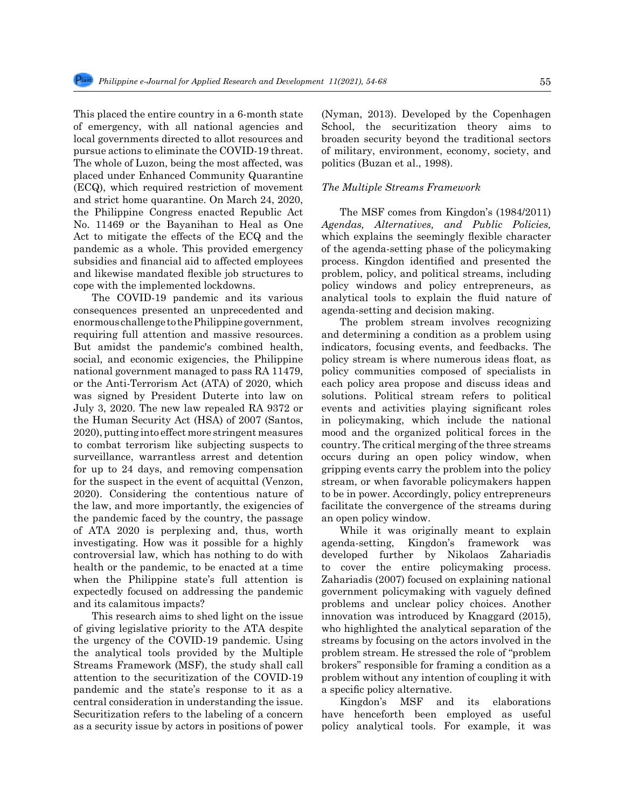This placed the entire country in a 6-month state of emergency, with all national agencies and local governments directed to allot resources and pursue actions to eliminate the COVID-19 threat. The whole of Luzon, being the most affected, was placed under Enhanced Community Quarantine (ECQ), which required restriction of movement and strict home quarantine. On March 24, 2020, the Philippine Congress enacted Republic Act No. 11469 or the Bayanihan to Heal as One Act to mitigate the effects of the ECQ and the pandemic as a whole. This provided emergency subsidies and financial aid to affected employees and likewise mandated flexible job structures to cope with the implemented lockdowns.

The COVID-19 pandemic and its various consequences presented an unprecedented and enormous challenge to the Philippine government, requiring full attention and massive resources. But amidst the pandemic's combined health, social, and economic exigencies, the Philippine national government managed to pass RA 11479, or the Anti-Terrorism Act (ATA) of 2020, which was signed by President Duterte into law on July 3, 2020. The new law repealed RA 9372 or the Human Security Act (HSA) of 2007 (Santos, 2020), putting into effect more stringent measures to combat terrorism like subjecting suspects to surveillance, warrantless arrest and detention for up to 24 days, and removing compensation for the suspect in the event of acquittal (Venzon, 2020). Considering the contentious nature of the law, and more importantly, the exigencies of the pandemic faced by the country, the passage of ATA 2020 is perplexing and, thus, worth investigating. How was it possible for a highly controversial law, which has nothing to do with health or the pandemic, to be enacted at a time when the Philippine state's full attention is expectedly focused on addressing the pandemic and its calamitous impacts?

This research aims to shed light on the issue of giving legislative priority to the ATA despite the urgency of the COVID-19 pandemic. Using the analytical tools provided by the Multiple Streams Framework (MSF), the study shall call attention to the securitization of the COVID-19 pandemic and the state's response to it as a central consideration in understanding the issue. Securitization refers to the labeling of a concern as a security issue by actors in positions of power (Nyman, 2013). Developed by the Copenhagen School, the securitization theory aims to broaden security beyond the traditional sectors of military, environment, economy, society, and politics (Buzan et al., 1998).

#### *The Multiple Streams Framework*

The MSF comes from Kingdon's (1984/2011) *Agendas, Alternatives, and Public Policies,* which explains the seemingly flexible character of the agenda-setting phase of the policymaking process. Kingdon identified and presented the problem, policy, and political streams, including policy windows and policy entrepreneurs, as analytical tools to explain the fluid nature of agenda-setting and decision making.

The problem stream involves recognizing and determining a condition as a problem using indicators, focusing events, and feedbacks. The policy stream is where numerous ideas float, as policy communities composed of specialists in each policy area propose and discuss ideas and solutions. Political stream refers to political events and activities playing significant roles in policymaking, which include the national mood and the organized political forces in the country. The critical merging of the three streams occurs during an open policy window, when gripping events carry the problem into the policy stream, or when favorable policymakers happen to be in power. Accordingly, policy entrepreneurs facilitate the convergence of the streams during an open policy window.

While it was originally meant to explain agenda-setting, Kingdon's framework was developed further by Nikolaos Zahariadis to cover the entire policymaking process. Zahariadis (2007) focused on explaining national government policymaking with vaguely defined problems and unclear policy choices. Another innovation was introduced by Knaggard (2015), who highlighted the analytical separation of the streams by focusing on the actors involved in the problem stream. He stressed the role of "problem brokers" responsible for framing a condition as a problem without any intention of coupling it with a specific policy alternative.

Kingdon's MSF and its elaborations have henceforth been employed as useful policy analytical tools. For example, it was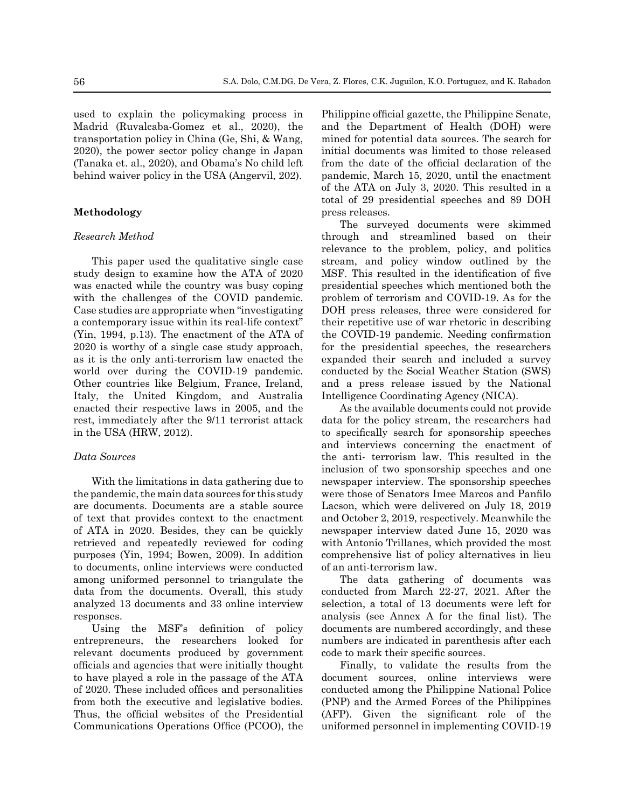used to explain the policymaking process in Madrid (Ruvalcaba-Gomez et al., 2020), the transportation policy in China (Ge, Shi, & Wang, 2020), the power sector policy change in Japan (Tanaka et. al., 2020), and Obama's No child left behind waiver policy in the USA (Angervil, 202).

### **Methodology**

#### *Research Method*

This paper used the qualitative single case study design to examine how the ATA of 2020 was enacted while the country was busy coping with the challenges of the COVID pandemic. Case studies are appropriate when "investigating a contemporary issue within its real-life context" (Yin, 1994, p.13). The enactment of the ATA of 2020 is worthy of a single case study approach, as it is the only anti-terrorism law enacted the world over during the COVID-19 pandemic. Other countries like Belgium, France, Ireland, Italy, the United Kingdom, and Australia enacted their respective laws in 2005, and the rest, immediately after the 9/11 terrorist attack in the USA (HRW, 2012).

#### *Data Sources*

With the limitations in data gathering due to the pandemic, the main data sources for this study are documents. Documents are a stable source of text that provides context to the enactment of ATA in 2020. Besides, they can be quickly retrieved and repeatedly reviewed for coding purposes (Yin, 1994; Bowen, 2009). In addition to documents, online interviews were conducted among uniformed personnel to triangulate the data from the documents. Overall, this study analyzed 13 documents and 33 online interview responses.

Using the MSF's definition of policy entrepreneurs, the researchers looked for relevant documents produced by government officials and agencies that were initially thought to have played a role in the passage of the ATA of 2020. These included offices and personalities from both the executive and legislative bodies. Thus, the official websites of the Presidential Communications Operations Office (PCOO), the Philippine official gazette, the Philippine Senate, and the Department of Health (DOH) were mined for potential data sources. The search for initial documents was limited to those released from the date of the official declaration of the pandemic, March 15, 2020, until the enactment of the ATA on July 3, 2020. This resulted in a total of 29 presidential speeches and 89 DOH press releases.

The surveyed documents were skimmed through and streamlined based on their relevance to the problem, policy, and politics stream, and policy window outlined by the MSF. This resulted in the identification of five presidential speeches which mentioned both the problem of terrorism and COVID-19. As for the DOH press releases, three were considered for their repetitive use of war rhetoric in describing the COVID-19 pandemic. Needing confirmation for the presidential speeches, the researchers expanded their search and included a survey conducted by the Social Weather Station (SWS) and a press release issued by the National Intelligence Coordinating Agency (NICA).

As the available documents could not provide data for the policy stream, the researchers had to specifically search for sponsorship speeches and interviews concerning the enactment of the anti- terrorism law. This resulted in the inclusion of two sponsorship speeches and one newspaper interview. The sponsorship speeches were those of Senators Imee Marcos and Panfilo Lacson, which were delivered on July 18, 2019 and October 2, 2019, respectively. Meanwhile the newspaper interview dated June 15, 2020 was with Antonio Trillanes, which provided the most comprehensive list of policy alternatives in lieu of an anti-terrorism law.

The data gathering of documents was conducted from March 22-27, 2021. After the selection, a total of 13 documents were left for analysis (see Annex A for the final list). The documents are numbered accordingly, and these numbers are indicated in parenthesis after each code to mark their specific sources.

Finally, to validate the results from the document sources, online interviews were conducted among the Philippine National Police (PNP) and the Armed Forces of the Philippines (AFP). Given the significant role of the uniformed personnel in implementing COVID-19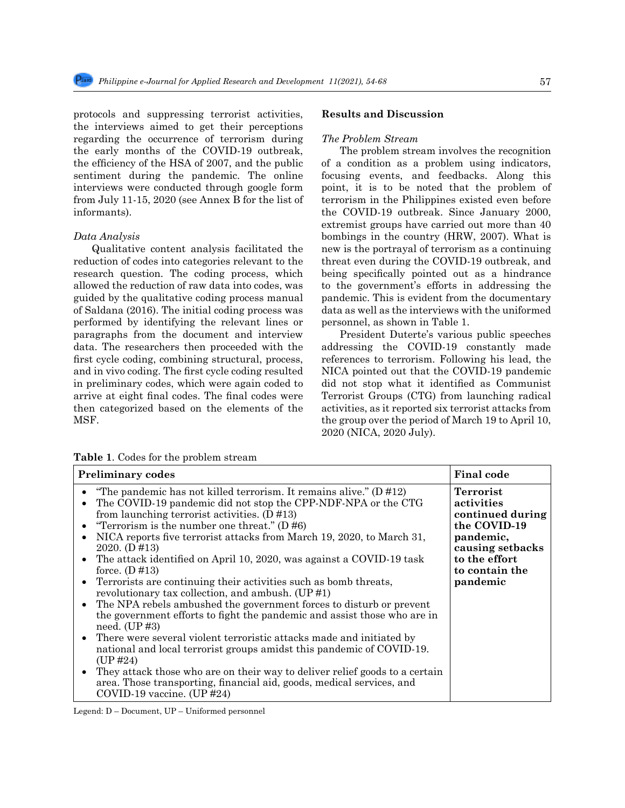protocols and suppressing terrorist activities, the interviews aimed to get their perceptions regarding the occurrence of terrorism during the early months of the COVID-19 outbreak, the efficiency of the HSA of 2007, and the public sentiment during the pandemic. The online interviews were conducted through google form from July 11-15, 2020 (see Annex B for the list of informants).

#### *Data Analysis*

Qualitative content analysis facilitated the reduction of codes into categories relevant to the research question. The coding process, which allowed the reduction of raw data into codes, was guided by the qualitative coding process manual of Saldana (2016). The initial coding process was performed by identifying the relevant lines or paragraphs from the document and interview data. The researchers then proceeded with the first cycle coding, combining structural, process, and in vivo coding. The first cycle coding resulted in preliminary codes, which were again coded to arrive at eight final codes. The final codes were then categorized based on the elements of the MSF.

#### **Results and Discussion**

#### *The Problem Stream*

The problem stream involves the recognition of a condition as a problem using indicators, focusing events, and feedbacks. Along this point, it is to be noted that the problem of terrorism in the Philippines existed even before the COVID-19 outbreak. Since January 2000, extremist groups have carried out more than 40 bombings in the country (HRW, 2007). What is new is the portrayal of terrorism as a continuing threat even during the COVID-19 outbreak, and being specifically pointed out as a hindrance to the government's efforts in addressing the pandemic. This is evident from the documentary data as well as the interviews with the uniformed personnel, as shown in Table 1.

President Duterte's various public speeches addressing the COVID-19 constantly made references to terrorism. Following his lead, the NICA pointed out that the COVID-19 pandemic did not stop what it identified as Communist Terrorist Groups (CTG) from launching radical activities, as it reported six terrorist attacks from the group over the period of March 19 to April 10, 2020 (NICA, 2020 July).

| <b>Preliminary codes</b>                                                                                                                                                                                                                                                                                                                                                                                                                                                                                                                                                                                                                                                                                                                                                                                                                                                                                   | <b>Final code</b>                                                                                                                                  |
|------------------------------------------------------------------------------------------------------------------------------------------------------------------------------------------------------------------------------------------------------------------------------------------------------------------------------------------------------------------------------------------------------------------------------------------------------------------------------------------------------------------------------------------------------------------------------------------------------------------------------------------------------------------------------------------------------------------------------------------------------------------------------------------------------------------------------------------------------------------------------------------------------------|----------------------------------------------------------------------------------------------------------------------------------------------------|
| • "The pandemic has not killed terrorism. It remains alive." $(D \# 12)$<br>• The COVID-19 pandemic did not stop the CPP-NDF-NPA or the CTG<br>from launching terrorist activities. $(D \# 13)$<br>• "Terrorism is the number one threat." $(D#6)$<br>• NICA reports five terrorist attacks from March 19, 2020, to March 31,<br>2020. (D #13)<br>• The attack identified on April 10, 2020, was against a COVID-19 task<br>force. $(D#13)$<br>• Terrorists are continuing their activities such as bomb threats,<br>revolutionary tax collection, and ambush. (UP#1)<br>• The NPA rebels ambushed the government forces to disturb or prevent<br>the government efforts to fight the pandemic and assist those who are in<br>need. $(UP#3)$<br>• There were several violent terroristic attacks made and initiated by<br>national and local terrorist groups amidst this pandemic of COVID-19.<br>(UP#24) | <b>Terrorist</b><br>activities<br>continued during<br>the COVID-19<br>pandemic,<br>causing setbacks<br>to the effort<br>to contain the<br>pandemic |
| • They attack those who are on their way to deliver relief goods to a certain<br>area. Those transporting, financial aid, goods, medical services, and<br>COVID-19 vaccine. (UP $\#24$ )                                                                                                                                                                                                                                                                                                                                                                                                                                                                                                                                                                                                                                                                                                                   |                                                                                                                                                    |

**Table 1**. Codes for the problem stream

Legend: D – Document, UP – Uniformed personnel

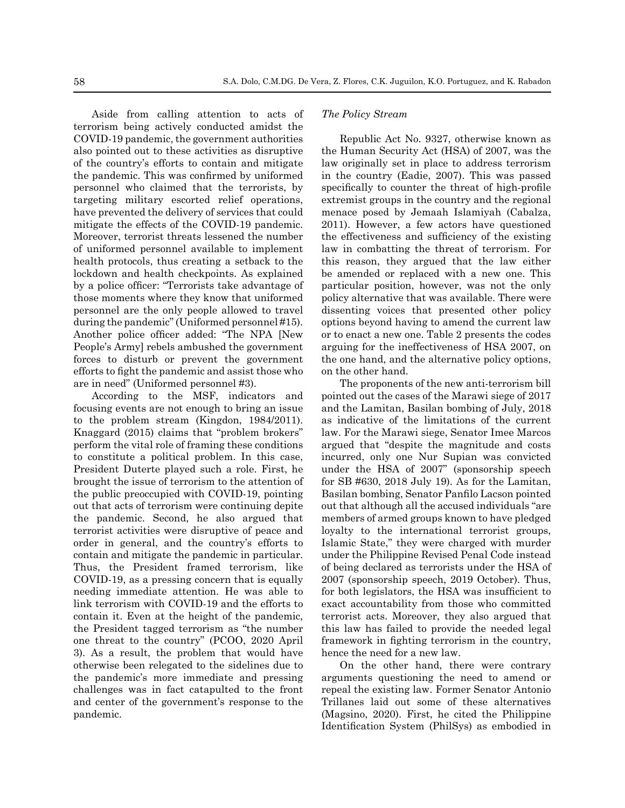Aside from calling attention to acts of terrorism being actively conducted amidst the COVID-19 pandemic, the government authorities also pointed out to these activities as disruptive of the country's efforts to contain and mitigate the pandemic. This was confirmed by uniformed personnel who claimed that the terrorists, by targeting military escorted relief operations, have prevented the delivery of services that could mitigate the effects of the COVID-19 pandemic. Moreover, terrorist threats lessened the number of uniformed personnel available to implement health protocols, thus creating a setback to the lockdown and health checkpoints. As explained by a police officer: "Terrorists take advantage of those moments where they know that uniformed personnel are the only people allowed to travel during the pandemic" (Uniformed personnel #15). Another police officer added: "The NPA [New People's Army] rebels ambushed the government forces to disturb or prevent the government efforts to fight the pandemic and assist those who are in need" (Uniformed personnel #3).

According to the MSF, indicators and focusing events are not enough to bring an issue to the problem stream (Kingdon, 1984/2011). Knaggard (2015) claims that "problem brokers" perform the vital role of framing these conditions to constitute a political problem. In this case, President Duterte played such a role. First, he brought the issue of terrorism to the attention of the public preoccupied with COVID-19, pointing out that acts of terrorism were continuing depite the pandemic. Second, he also argued that terrorist activities were disruptive of peace and order in general, and the country's efforts to contain and mitigate the pandemic in particular. Thus, the President framed terrorism, like COVID-19, as a pressing concern that is equally needing immediate attention. He was able to link terrorism with COVID-19 and the efforts to contain it. Even at the height of the pandemic, the President tagged terrorism as "the number one threat to the country" (PCOO, 2020 April 3). As a result, the problem that would have otherwise been relegated to the sidelines due to the pandemic's more immediate and pressing challenges was in fact catapulted to the front and center of the government's response to the pandemic.

#### *The Policy Stream*

Republic Act No. 9327, otherwise known as the Human Security Act (HSA) of 2007, was the law originally set in place to address terrorism in the country (Eadie, 2007). This was passed specifically to counter the threat of high-profile extremist groups in the country and the regional menace posed by Jemaah Islamiyah (Cabalza, 2011). However, a few actors have questioned the effectiveness and sufficiency of the existing law in combatting the threat of terrorism. For this reason, they argued that the law either be amended or replaced with a new one. This particular position, however, was not the only policy alternative that was available. There were dissenting voices that presented other policy options beyond having to amend the current law or to enact a new one. Table 2 presents the codes arguing for the ineffectiveness of HSA 2007, on the one hand, and the alternative policy options, on the other hand.

The proponents of the new anti-terrorism bill pointed out the cases of the Marawi siege of 2017 and the Lamitan, Basilan bombing of July, 2018 as indicative of the limitations of the current law. For the Marawi siege, Senator Imee Marcos argued that "despite the magnitude and costs incurred, only one Nur Supian was convicted under the HSA of 2007" (sponsorship speech for SB #630, 2018 July 19). As for the Lamitan, Basilan bombing, Senator Panfilo Lacson pointed out that although all the accused individuals "are members of armed groups known to have pledged loyalty to the international terrorist groups, Islamic State," they were charged with murder under the Philippine Revised Penal Code instead of being declared as terrorists under the HSA of 2007 (sponsorship speech, 2019 October). Thus, for both legislators, the HSA was insufficient to exact accountability from those who committed terrorist acts. Moreover, they also argued that this law has failed to provide the needed legal framework in fighting terrorism in the country, hence the need for a new law.

On the other hand, there were contrary arguments questioning the need to amend or repeal the existing law. Former Senator Antonio Trillanes laid out some of these alternatives (Magsino, 2020). First, he cited the Philippine Identification System (PhilSys) as embodied in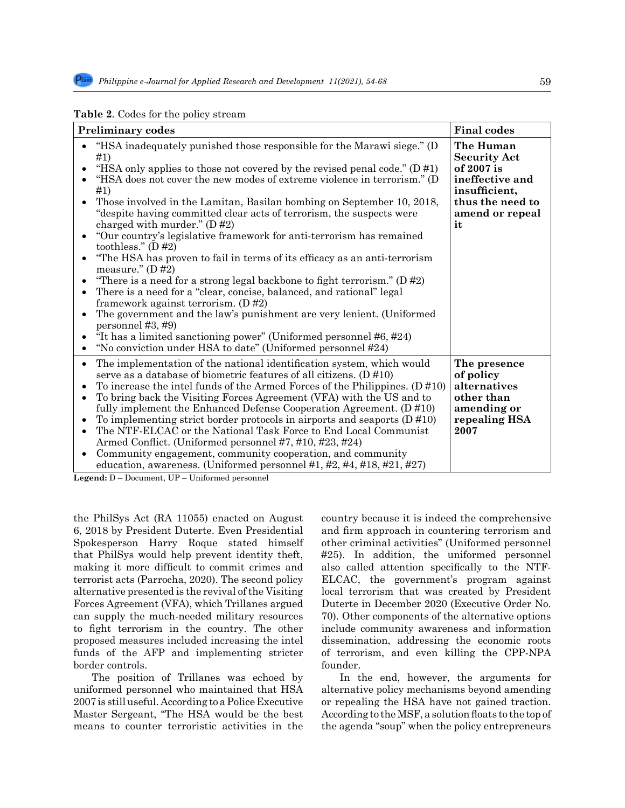| Table 2. Codes for the policy stream |  |  |  |  |  |
|--------------------------------------|--|--|--|--|--|
|--------------------------------------|--|--|--|--|--|

| <b>Preliminary codes</b>                                                                                                                                                                                                                                                                                                                                                                                                                                                                                                                                                                                                                                                                                                                                                                                                                                                                                                                                                                                                                                                                                                                                                                 | <b>Final codes</b>                                                                                                              |
|------------------------------------------------------------------------------------------------------------------------------------------------------------------------------------------------------------------------------------------------------------------------------------------------------------------------------------------------------------------------------------------------------------------------------------------------------------------------------------------------------------------------------------------------------------------------------------------------------------------------------------------------------------------------------------------------------------------------------------------------------------------------------------------------------------------------------------------------------------------------------------------------------------------------------------------------------------------------------------------------------------------------------------------------------------------------------------------------------------------------------------------------------------------------------------------|---------------------------------------------------------------------------------------------------------------------------------|
| "HSA inadequately punished those responsible for the Marawi siege." (D<br>$\bullet$<br>#1)<br>"HSA only applies to those not covered by the revised penal code." $(D \# 1)$<br>$\bullet$<br>"HSA does not cover the new modes of extreme violence in terrorism." (D<br>$\bullet$<br>#1)<br>Those involved in the Lamitan, Basilan bombing on September 10, 2018,<br>"despite having committed clear acts of terrorism, the suspects were<br>charged with murder." $(D#2)$<br>"Our country's legislative framework for anti-terrorism has remained<br>$\bullet$<br>toothless." $(D#2)$<br>"The HSA has proven to fail in terms of its efficacy as an anti-terrorism<br>$\bullet$<br>measure." $(D#2)$<br>"There is a need for a strong legal backbone to fight terrorism." $(D#2)$<br>$\bullet$<br>There is a need for a "clear, concise, balanced, and rational" legal<br>$\bullet$<br>framework against terrorism. $(D#2)$<br>The government and the law's punishment are very lenient. (Uniformed<br>$\bullet$<br>personnel $#3, #9$<br>"It has a limited sanctioning power" (Uniformed personnel #6, #24)<br>"No conviction under HSA to date" (Uniformed personnel #24)<br>$\bullet$ | The Human<br><b>Security Act</b><br>of 2007 is<br>ineffective and<br>insufficient,<br>thus the need to<br>amend or repeal<br>it |
| The implementation of the national identification system, which would<br>$\bullet$<br>serve as a database of biometric features of all citizens. $(D#10)$<br>To increase the intel funds of the Armed Forces of the Philippines. $(D \# 10)$<br>$\bullet$<br>To bring back the Visiting Forces Agreement (VFA) with the US and to<br>$\bullet$<br>fully implement the Enhanced Defense Cooperation Agreement. $(D#10)$<br>To implementing strict border protocols in airports and seaports $(D#10)$<br>$\bullet$<br>The NTF-ELCAC or the National Task Force to End Local Communist<br>$\bullet$<br>Armed Conflict. (Uniformed personnel #7, #10, #23, #24)<br>Community engagement, community cooperation, and community<br>$\bullet$<br>education, awareness. (Uniformed personnel #1, #2, #4, #18, #21, #27)                                                                                                                                                                                                                                                                                                                                                                          | The presence<br>of policy<br>alternatives<br>other than<br>amending or<br>repealing HSA<br>2007                                 |

**Legend:** D – Document, UP – Uniformed personnel

the PhilSys Act (RA 11055) enacted on August 6, 2018 by President Duterte. Even Presidential Spokesperson Harry Roque stated himself that PhilSys would help prevent identity theft, making it more difficult to commit crimes and terrorist acts (Parrocha, 2020). The second policy alternative presented is the revival of the Visiting Forces Agreement (VFA), which Trillanes argued can supply the much-needed military resources to fight terrorism in the country. The other proposed measures included increasing the intel funds of the AFP and implementing stricter border controls.

The position of Trillanes was echoed by uniformed personnel who maintained that HSA 2007 is still useful. According to a Police Executive Master Sergeant, "The HSA would be the best means to counter terroristic activities in the country because it is indeed the comprehensive and firm approach in countering terrorism and other criminal activities" (Uniformed personnel #25). In addition, the uniformed personnel also called attention specifically to the NTF-ELCAC, the government's program against local terrorism that was created by President Duterte in December 2020 (Executive Order No. 70). Other components of the alternative options include community awareness and information dissemination, addressing the economic roots of terrorism, and even killing the CPP-NPA founder.

In the end, however, the arguments for alternative policy mechanisms beyond amending or repealing the HSA have not gained traction. According to the MSF, a solution floats to the top of the agenda "soup" when the policy entrepreneurs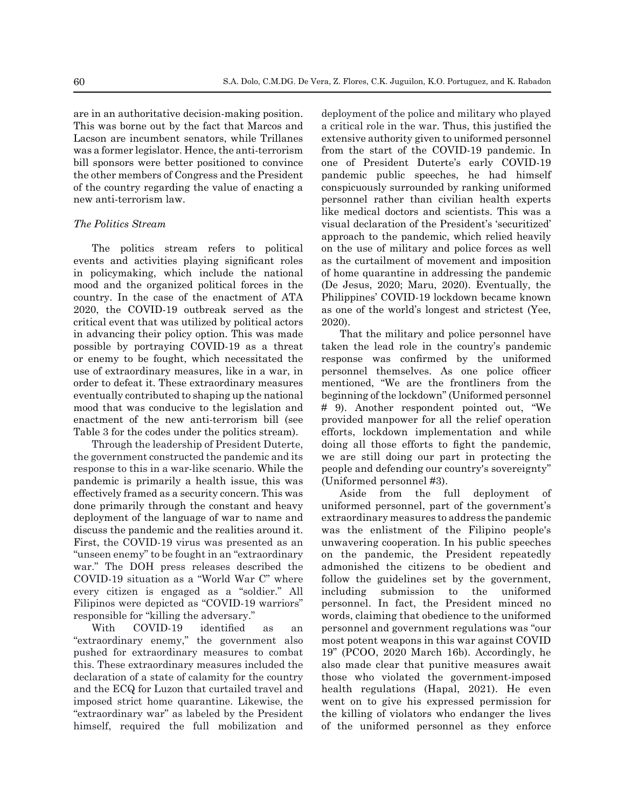are in an authoritative decision-making position. This was borne out by the fact that Marcos and Lacson are incumbent senators, while Trillanes was a former legislator. Hence, the anti-terrorism bill sponsors were better positioned to convince the other members of Congress and the President of the country regarding the value of enacting a new anti-terrorism law.

### *The Politics Stream*

The politics stream refers to political events and activities playing significant roles in policymaking, which include the national mood and the organized political forces in the country. In the case of the enactment of ATA 2020, the COVID-19 outbreak served as the critical event that was utilized by political actors in advancing their policy option. This was made possible by portraying COVID-19 as a threat or enemy to be fought, which necessitated the use of extraordinary measures, like in a war, in order to defeat it. These extraordinary measures eventually contributed to shaping up the national mood that was conducive to the legislation and enactment of the new anti-terrorism bill (see Table 3 for the codes under the politics stream).

Through the leadership of President Duterte, the government constructed the pandemic and its response to this in a war-like scenario. While the pandemic is primarily a health issue, this was effectively framed as a security concern. This was done primarily through the constant and heavy deployment of the language of war to name and discuss the pandemic and the realities around it. First, the COVID-19 virus was presented as an "unseen enemy" to be fought in an "extraordinary war." The DOH press releases described the COVID-19 situation as a "World War C" where every citizen is engaged as a "soldier." All Filipinos were depicted as "COVID-19 warriors" responsible for "killing the adversary."

With COVID-19 identified as an "extraordinary enemy," the government also pushed for extraordinary measures to combat this. These extraordinary measures included the declaration of a state of calamity for the country and the ECQ for Luzon that curtailed travel and imposed strict home quarantine. Likewise, the "extraordinary war" as labeled by the President himself, required the full mobilization and deployment of the police and military who played a critical role in the war. Thus, this justified the extensive authority given to uniformed personnel from the start of the COVID-19 pandemic. In one of President Duterte's early COVID-19 pandemic public speeches, he had himself conspicuously surrounded by ranking uniformed personnel rather than civilian health experts like medical doctors and scientists. This was a visual declaration of the President's 'securitized' approach to the pandemic, which relied heavily on the use of military and police forces as well as the curtailment of movement and imposition of home quarantine in addressing the pandemic (De Jesus, 2020; Maru, 2020). Eventually, the Philippines' COVID-19 lockdown became known as one of the world's longest and strictest (Yee, 2020).

That the military and police personnel have taken the lead role in the country's pandemic response was confirmed by the uniformed personnel themselves. As one police officer mentioned, "We are the frontliners from the beginning of the lockdown" (Uniformed personnel # 9). Another respondent pointed out, "We provided manpower for all the relief operation efforts, lockdown implementation and while doing all those efforts to fight the pandemic, we are still doing our part in protecting the people and defending our country's sovereignty" (Uniformed personnel #3).

Aside from the full deployment of uniformed personnel, part of the government's extraordinary measures to address the pandemic was the enlistment of the Filipino people's unwavering cooperation. In his public speeches on the pandemic, the President repeatedly admonished the citizens to be obedient and follow the guidelines set by the government, including submission to the uniformed personnel. In fact, the President minced no words, claiming that obedience to the uniformed personnel and government regulations was "our most potent weapons in this war against COVID 19" (PCOO, 2020 March 16b). Accordingly, he also made clear that punitive measures await those who violated the government-imposed health regulations (Hapal, 2021). He even went on to give his expressed permission for the killing of violators who endanger the lives of the uniformed personnel as they enforce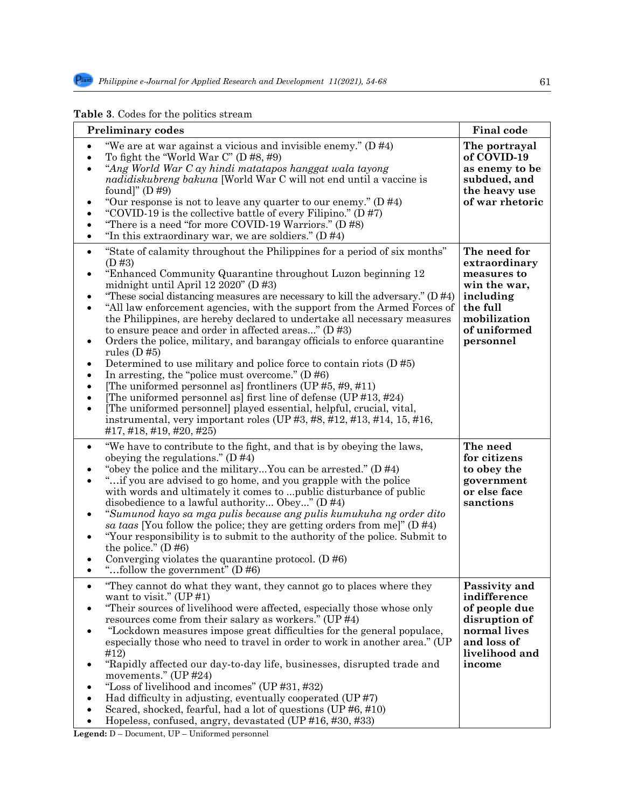# **Table 3**. Codes for the politics stream

| <b>Preliminary codes</b>                                                                                                                                                                                                                                                                                                                                                                                                                                                                                                                                                                                                                                                                                                                                                                                                                                                                                                                                                                                                                                                                                               | <b>Final</b> code                                                                                                                  |
|------------------------------------------------------------------------------------------------------------------------------------------------------------------------------------------------------------------------------------------------------------------------------------------------------------------------------------------------------------------------------------------------------------------------------------------------------------------------------------------------------------------------------------------------------------------------------------------------------------------------------------------------------------------------------------------------------------------------------------------------------------------------------------------------------------------------------------------------------------------------------------------------------------------------------------------------------------------------------------------------------------------------------------------------------------------------------------------------------------------------|------------------------------------------------------------------------------------------------------------------------------------|
| "We are at war against a vicious and invisible enemy." $(D#4)$<br>To fight the "World War C" $(D#8, #9)$<br>"Ang World War C ay hindi matatapos hanggat wala tayong<br>$\bullet$<br>nadidiskubreng bakuna [World War C will not end until a vaccine is<br>found]" $(D#9)$<br>"Our response is not to leave any quarter to our enemy." $(D#4)$<br>"COVID-19 is the collective battle of every Filipino." $(D#7)$<br>"There is a need "for more COVID-19 Warriors." (D#8)<br>"In this extraordinary war, we are soldiers." $(D#4)$                                                                                                                                                                                                                                                                                                                                                                                                                                                                                                                                                                                       | The portrayal<br>of COVID-19<br>as enemy to be<br>subdued, and<br>the heavy use<br>of war rhetoric                                 |
| "State of calamity throughout the Philippines for a period of six months"<br>$\bullet$<br>(D#3)<br>"Enhanced Community Quarantine throughout Luzon beginning 12<br>midnight until April 12 $2020"$ (D #3)<br>"These social distancing measures are necessary to kill the adversary." $(D#4)$<br>"All law enforcement agencies, with the support from the Armed Forces of<br>the Philippines, are hereby declared to undertake all necessary measures<br>to ensure peace and order in affected areas" $(D \#3)$<br>Orders the police, military, and barangay officials to enforce quarantine<br>rules $(D#5)$<br>Determined to use military and police force to contain riots $(D#5)$<br>$\bullet$<br>In arresting, the "police must overcome." $(D#6)$<br>$\bullet$<br>[The uniformed personnel as] frontliners (UP $#5, #9, #11$ )<br>$\bullet$<br>[The uniformed personnel as] first line of defense (UP $\#13, \#24$ )<br>[The uniformed personnel] played essential, helpful, crucial, vital,<br>$\bullet$<br>instrumental, very important roles (UP $#3, #8, #12, #13, #14, 15, #16,$<br>#17, #18, #19, #20, #25) | The need for<br>extraordinary<br>measures to<br>win the war,<br>including<br>the full<br>mobilization<br>of uniformed<br>personnel |
| "We have to contribute to the fight, and that is by obeying the laws,<br>$\bullet$<br>obeying the regulations." $(D#4)$<br>"obey the police and the militaryYou can be arrested." $(D#4)$<br>"if you are advised to go home, and you grapple with the police"<br>with words and ultimately it comes to  public disturbance of public<br>disobedience to a lawful authority Obey" ( $D \neq 4$ )<br>"Sumunod kayo sa mga pulis because ang pulis kumukuha ng order dito<br>sa taas [You follow the police; they are getting orders from me]" ( $D \#4$ )<br>"Your responsibility is to submit to the authority of the police. Submit to<br>the police." $(D#6)$<br>Converging violates the quarantine protocol. $(D#6)$<br>"follow the government" $(D#6)$                                                                                                                                                                                                                                                                                                                                                              | The need<br>for citizens<br>to obey the<br>government<br>or else face<br>sanctions                                                 |
| "They cannot do what they want, they cannot go to places where they<br>want to visit." $(UP#1)$<br>"Their sources of livelihood were affected, especially those whose only<br>resources come from their salary as workers." (UP#4)<br>"Lockdown measures impose great difficulties for the general populace,<br>especially those who need to travel in order to work in another area." (UP<br>#12)<br>"Rapidly affected our day-to-day life, businesses, disrupted trade and<br>movements." (UP #24)<br>"Loss of livelihood and incomes" (UP #31, #32)<br>Had difficulty in adjusting, eventually cooperated $(UP#7)$<br>Scared, shocked, fearful, had a lot of questions (UP #6, #10)<br>Hopeless, confused, angry, devastated (UP #16, #30, #33)<br>$\bullet$                                                                                                                                                                                                                                                                                                                                                        | Passivity and<br>indifference<br>of people due<br>disruption of<br>normal lives<br>and loss of<br>livelihood and<br>income         |

**Legend:** D – Document, UP – Uniformed personnel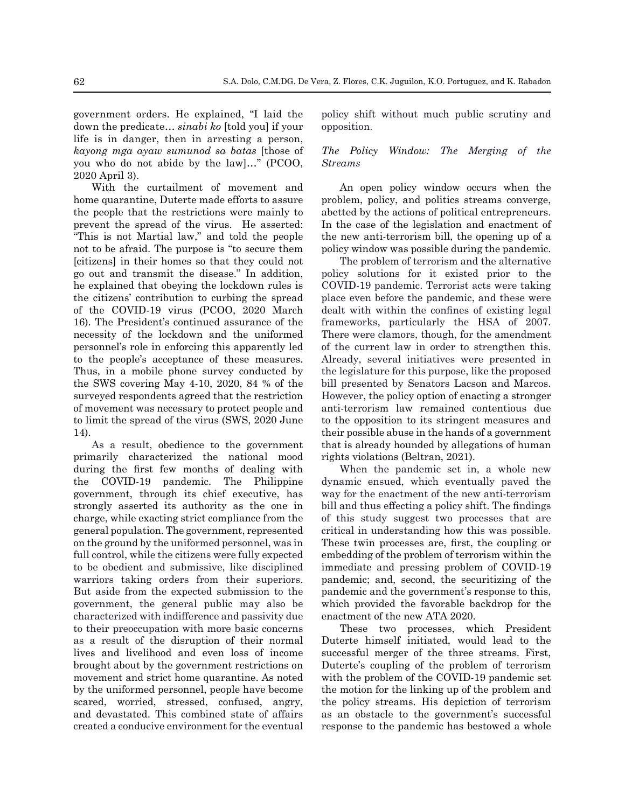government orders. He explained, "I laid the down the predicate… *sinabi ko* [told you] if your life is in danger, then in arresting a person, *kayong mga ayaw sumunod sa batas* [those of you who do not abide by the law]…" (PCOO, 2020 April 3).

With the curtailment of movement and home quarantine, Duterte made efforts to assure the people that the restrictions were mainly to prevent the spread of the virus. He asserted: "This is not Martial law," and told the people not to be afraid. The purpose is "to secure them [citizens] in their homes so that they could not go out and transmit the disease." In addition, he explained that obeying the lockdown rules is the citizens' contribution to curbing the spread of the COVID-19 virus (PCOO, 2020 March 16). The President's continued assurance of the necessity of the lockdown and the uniformed personnel's role in enforcing this apparently led to the people's acceptance of these measures. Thus, in a mobile phone survey conducted by the SWS covering May 4-10, 2020, 84 % of the surveyed respondents agreed that the restriction of movement was necessary to protect people and to limit the spread of the virus (SWS, 2020 June 14).

As a result, obedience to the government primarily characterized the national mood during the first few months of dealing with the COVID-19 pandemic. The Philippine government, through its chief executive, has strongly asserted its authority as the one in charge, while exacting strict compliance from the general population. The government, represented on the ground by the uniformed personnel, was in full control, while the citizens were fully expected to be obedient and submissive, like disciplined warriors taking orders from their superiors. But aside from the expected submission to the government, the general public may also be characterized with indifference and passivity due to their preoccupation with more basic concerns as a result of the disruption of their normal lives and livelihood and even loss of income brought about by the government restrictions on movement and strict home quarantine. As noted by the uniformed personnel, people have become scared, worried, stressed, confused, angry, and devastated. This combined state of affairs created a conducive environment for the eventual policy shift without much public scrutiny and opposition.

## *The Policy Window: The Merging of the Streams*

An open policy window occurs when the problem, policy, and politics streams converge, abetted by the actions of political entrepreneurs. In the case of the legislation and enactment of the new anti-terrorism bill, the opening up of a policy window was possible during the pandemic.

The problem of terrorism and the alternative policy solutions for it existed prior to the COVID-19 pandemic. Terrorist acts were taking place even before the pandemic, and these were dealt with within the confines of existing legal frameworks, particularly the HSA of 2007. There were clamors, though, for the amendment of the current law in order to strengthen this. Already, several initiatives were presented in the legislature for this purpose, like the proposed bill presented by Senators Lacson and Marcos. However, the policy option of enacting a stronger anti-terrorism law remained contentious due to the opposition to its stringent measures and their possible abuse in the hands of a government that is already hounded by allegations of human rights violations (Beltran, 2021).

When the pandemic set in, a whole new dynamic ensued, which eventually paved the way for the enactment of the new anti-terrorism bill and thus effecting a policy shift. The findings of this study suggest two processes that are critical in understanding how this was possible. These twin processes are, first, the coupling or embedding of the problem of terrorism within the immediate and pressing problem of COVID-19 pandemic; and, second, the securitizing of the pandemic and the government's response to this, which provided the favorable backdrop for the enactment of the new ATA 2020.

These two processes, which President Duterte himself initiated, would lead to the successful merger of the three streams. First, Duterte's coupling of the problem of terrorism with the problem of the COVID-19 pandemic set the motion for the linking up of the problem and the policy streams. His depiction of terrorism as an obstacle to the government's successful response to the pandemic has bestowed a whole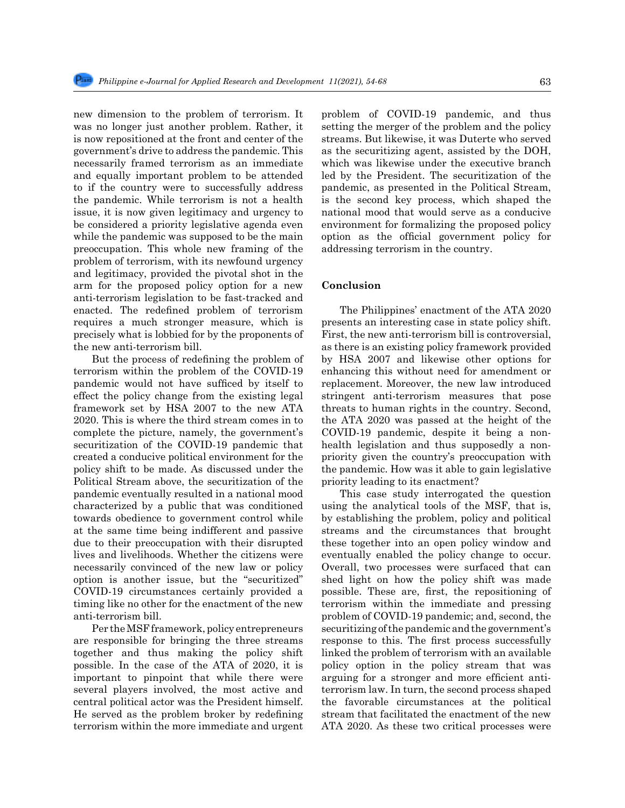new dimension to the problem of terrorism. It was no longer just another problem. Rather, it is now repositioned at the front and center of the government's drive to address the pandemic. This necessarily framed terrorism as an immediate and equally important problem to be attended to if the country were to successfully address the pandemic. While terrorism is not a health issue, it is now given legitimacy and urgency to be considered a priority legislative agenda even while the pandemic was supposed to be the main preoccupation. This whole new framing of the problem of terrorism, with its newfound urgency and legitimacy, provided the pivotal shot in the arm for the proposed policy option for a new anti-terrorism legislation to be fast-tracked and enacted. The redefined problem of terrorism requires a much stronger measure, which is precisely what is lobbied for by the proponents of the new anti-terrorism bill.

But the process of redefining the problem of terrorism within the problem of the COVID-19 pandemic would not have sufficed by itself to effect the policy change from the existing legal framework set by HSA 2007 to the new ATA 2020. This is where the third stream comes in to complete the picture, namely, the government's securitization of the COVID-19 pandemic that created a conducive political environment for the policy shift to be made. As discussed under the Political Stream above, the securitization of the pandemic eventually resulted in a national mood characterized by a public that was conditioned towards obedience to government control while at the same time being indifferent and passive due to their preoccupation with their disrupted lives and livelihoods. Whether the citizens were necessarily convinced of the new law or policy option is another issue, but the "securitized" COVID-19 circumstances certainly provided a timing like no other for the enactment of the new anti-terrorism bill.

Per the MSF framework, policy entrepreneurs are responsible for bringing the three streams together and thus making the policy shift possible. In the case of the ATA of 2020, it is important to pinpoint that while there were several players involved, the most active and central political actor was the President himself. He served as the problem broker by redefining terrorism within the more immediate and urgent problem of COVID-19 pandemic, and thus setting the merger of the problem and the policy streams. But likewise, it was Duterte who served as the securitizing agent, assisted by the DOH, which was likewise under the executive branch led by the President. The securitization of the pandemic, as presented in the Political Stream, is the second key process, which shaped the national mood that would serve as a conducive environment for formalizing the proposed policy option as the official government policy for addressing terrorism in the country.

## **Conclusion**

The Philippines' enactment of the ATA 2020 presents an interesting case in state policy shift. First, the new anti-terrorism bill is controversial, as there is an existing policy framework provided by HSA 2007 and likewise other options for enhancing this without need for amendment or replacement. Moreover, the new law introduced stringent anti-terrorism measures that pose threats to human rights in the country. Second, the ATA 2020 was passed at the height of the COVID-19 pandemic, despite it being a nonhealth legislation and thus supposedly a nonpriority given the country's preoccupation with the pandemic. How was it able to gain legislative priority leading to its enactment?

This case study interrogated the question using the analytical tools of the MSF, that is, by establishing the problem, policy and political streams and the circumstances that brought these together into an open policy window and eventually enabled the policy change to occur. Overall, two processes were surfaced that can shed light on how the policy shift was made possible. These are, first, the repositioning of terrorism within the immediate and pressing problem of COVID-19 pandemic; and, second, the securitizing of the pandemic and the government's response to this. The first process successfully linked the problem of terrorism with an available policy option in the policy stream that was arguing for a stronger and more efficient antiterrorism law. In turn, the second process shaped the favorable circumstances at the political stream that facilitated the enactment of the new ATA 2020. As these two critical processes were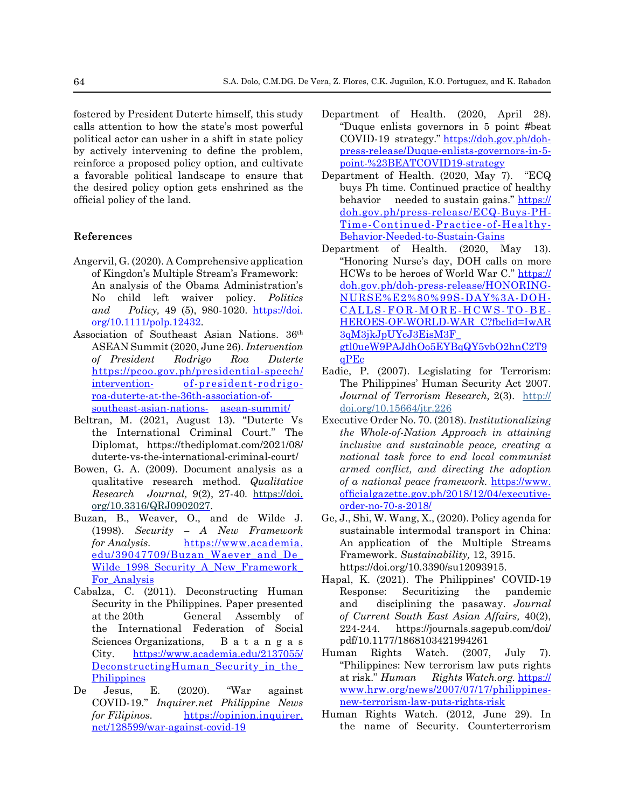fostered by President Duterte himself, this study calls attention to how the state's most powerful political actor can usher in a shift in state policy by actively intervening to define the problem, reinforce a proposed policy option, and cultivate a favorable political landscape to ensure that the desired policy option gets enshrined as the official policy of the land.

#### **References**

- Angervil, G. (2020). A Comprehensive application of Kingdon's Multiple Stream's Framework: An analysis of the Obama Administration's No child left waiver policy. *Politics and Policy,* 49 (5), 980-1020. [https://doi.](https://doi.org/10.1111/polp.12432) [org/10.1111/polp.12432.](https://doi.org/10.1111/polp.12432)
- Association of Southeast Asian Nations. 36<sup>th</sup> ASEAN Summit (2020, June 26). *Intervention of President Rodrigo Roa Duterte* [https://pcoo.gov.ph/presidential-speech/](https://pcoo.gov.ph/presidential-speech/intervention-%09of-president-rodrigo-roa-duterte-at-the-36th-association-of-%09southeast-asian-nations-%09asean-summit/) intervention- [of-president-rodrigo](https://pcoo.gov.ph/presidential-speech/intervention-%09of-president-rodrigo-roa-duterte-at-the-36th-association-of-%09southeast-asian-nations-%09asean-summit/)[roa-duterte-at-the-36th-association-of](https://pcoo.gov.ph/presidential-speech/intervention-%09of-president-rodrigo-roa-duterte-at-the-36th-association-of-%09southeast-asian-nations-%09asean-summit/)[southeast-asian-nations-](https://pcoo.gov.ph/presidential-speech/intervention-%09of-president-rodrigo-roa-duterte-at-the-36th-association-of-%09southeast-asian-nations-%09asean-summit/) asean-summit/
- Beltran, M. (2021, August 13). "Duterte Vs the International Criminal Court." The Diplomat, https://thediplomat.com/2021/08/ duterte-vs-the-international-criminal-court/
- Bowen, G. A. (2009). Document analysis as a qualitative research method. *Qualitative Research Journal,* 9(2), 27-40*.* [https://doi.](https://doi.org/10.3316/QRJ0902027) [org/10.3316/QRJ0902027](https://doi.org/10.3316/QRJ0902027).
- Buzan, B., Weaver, O., and de Wilde J. (1998). *Security – A New Framework for Analysis.* [https://www.academia.](https://www.academia.edu/39047709/Buzan_Waever_and_De_Wilde_1998_%20%09Security_A_New_Framework_For_Analysis) [edu/39047709/Buzan\\_Waever\\_and\\_De\\_](https://www.academia.edu/39047709/Buzan_Waever_and_De_Wilde_1998_%20%09Security_A_New_Framework_For_Analysis) Wilde<sup>1998</sup> Security A New Framework For Analysis
- Cabalza, C. (2011). Deconstructing Human Security in the Philippines. Paper presented at the 20th General Assembly of the International Federation of Social Sciences Organizations, B a t a n g a s City. [https://www.academia.edu/2137055/](https://www.academia.edu/2137055/DeconstructingHuman_Security_in_the_Philippines) DeconstructingHuman Security in the [Philippines](https://www.academia.edu/2137055/DeconstructingHuman_Security_in_the_Philippines)
- De Jesus, E. (2020). "War against COVID-19." *Inquirer.net Philippine News for Filipinos.* [https://opinion.inquirer.](https://opinion.inquirer.net/128599/war-against-covid-19) [net/128599/war-against-covid-19](https://opinion.inquirer.net/128599/war-against-covid-19)
- Department of Health. (2020, April 28). "Duque enlists governors in 5 point #beat COVID-19 strategy." [https://doh.gov.ph/doh](https://doh.gov.ph/doh-press-release/Duque-enlists-governors-in-5-point-%09%23BEATCOVID19-%09strategy)[press-release/Duque-enlists-governors-in-5](https://doh.gov.ph/doh-press-release/Duque-enlists-governors-in-5-point-%09%23BEATCOVID19-%09strategy) [point-%23BEATCOVID19-strategy](https://doh.gov.ph/doh-press-release/Duque-enlists-governors-in-5-point-%09%23BEATCOVID19-%09strategy)
- Department of Health. (2020, May 7). "ECQ buys Ph time. Continued practice of healthy behavior needed to sustain gains." [https://](https://doh.gov.ph/press-release/ECQ-Buys-PH-Time-%09Continued-Practice-of-Healthy-Behavior-Needed-to-Sustain-Gains) [doh.gov.ph/press-release/ECQ-Buys-PH-](https://doh.gov.ph/press-release/ECQ-Buys-PH-Time-%09Continued-Practice-of-Healthy-Behavior-Needed-to-Sustain-Gains)[Time-Continued-Practice-of-Healthy-](https://doh.gov.ph/press-release/ECQ-Buys-PH-Time-%09Continued-Practice-of-Healthy-Behavior-Needed-to-Sustain-Gains)[Behavior-Needed-to-Sustain-Gains](https://doh.gov.ph/press-release/ECQ-Buys-PH-Time-%09Continued-Practice-of-Healthy-Behavior-Needed-to-Sustain-Gains)
- Department of Health. (2020, May 13). "Honoring Nurse's day, DOH calls on more HCWs to be heroes of World War C." [https://](https://doh.gov.ph/doh-press-release/HONORING-%09NURSE%E2%80%99S-DAY%3A-DOH-CALLS-FOR-MORE-HCWS-TO-BE-%09HEROES-OF-WORLD-WAR%20%09C?fbclid=IwAR3qM3jkJpUYcJ3EisM3F_gtl0ueW9PAJdhOo5EYBqQY5vbO2hnC2T9q%09PEc) [doh.gov.ph/doh-press-release/HONORING-](https://doh.gov.ph/doh-press-release/HONORING-%09NURSE%E2%80%99S-DAY%3A-DOH-CALLS-FOR-MORE-HCWS-TO-BE-%09HEROES-OF-WORLD-WAR%20%09C?fbclid=IwAR3qM3jkJpUYcJ3EisM3F_gtl0ueW9PAJdhOo5EYBqQY5vbO2hnC2T9q%09PEc)[NURSE%E2%80%99S-DAY%3A-DOH-](https://doh.gov.ph/doh-press-release/HONORING-%09NURSE%E2%80%99S-DAY%3A-DOH-CALLS-FOR-MORE-HCWS-TO-BE-%09HEROES-OF-WORLD-WAR%20%09C?fbclid=IwAR3qM3jkJpUYcJ3EisM3F_gtl0ueW9PAJdhOo5EYBqQY5vbO2hnC2T9q%09PEc)[CALLS-FOR-MORE-HCWS-TO-BE-](https://doh.gov.ph/doh-press-release/HONORING-%09NURSE%E2%80%99S-DAY%3A-DOH-CALLS-FOR-MORE-HCWS-TO-BE-%09HEROES-OF-WORLD-WAR%20%09C?fbclid=IwAR3qM3jkJpUYcJ3EisM3F_gtl0ueW9PAJdhOo5EYBqQY5vbO2hnC2T9q%09PEc)[HEROES-OF-WORLD-WAR C?fbclid=IwAR](https://doh.gov.ph/doh-press-release/HONORING-%09NURSE%E2%80%99S-DAY%3A-DOH-CALLS-FOR-MORE-HCWS-TO-BE-%09HEROES-OF-WORLD-WAR%20%09C?fbclid=IwAR3qM3jkJpUYcJ3EisM3F_gtl0ueW9PAJdhOo5EYBqQY5vbO2hnC2T9q%09PEc) [3qM3jkJpUYcJ3EisM3F\\_](https://doh.gov.ph/doh-press-release/HONORING-%09NURSE%E2%80%99S-DAY%3A-DOH-CALLS-FOR-MORE-HCWS-TO-BE-%09HEROES-OF-WORLD-WAR%20%09C?fbclid=IwAR3qM3jkJpUYcJ3EisM3F_gtl0ueW9PAJdhOo5EYBqQY5vbO2hnC2T9q%09PEc) [gtl0ueW9PAJdhOo5EYBqQY5vbO2hnC2T9](https://doh.gov.ph/doh-press-release/HONORING-%09NURSE%E2%80%99S-DAY%3A-DOH-CALLS-FOR-MORE-HCWS-TO-BE-%09HEROES-OF-WORLD-WAR%20%09C?fbclid=IwAR3qM3jkJpUYcJ3EisM3F_gtl0ueW9PAJdhOo5EYBqQY5vbO2hnC2T9q%09PEc) [qPEc](https://doh.gov.ph/doh-press-release/HONORING-%09NURSE%E2%80%99S-DAY%3A-DOH-CALLS-FOR-MORE-HCWS-TO-BE-%09HEROES-OF-WORLD-WAR%20%09C?fbclid=IwAR3qM3jkJpUYcJ3EisM3F_gtl0ueW9PAJdhOo5EYBqQY5vbO2hnC2T9q%09PEc)
- Eadie, P. (2007). Legislating for Terrorism: The Philippines' Human Security Act 2007. *Journal of Terrorism Research,* 2(3). [http://](http://doi.org/10.15664/jtr.226) [doi.org/10.15664/jtr.226](http://doi.org/10.15664/jtr.226)
- Executive Order No. 70. (2018). *Institutionalizing the Whole-of-Nation Approach in attaining inclusive and sustainable peace, creating a national task force to end local communist armed conflict, and directing the adoption of a national peace framework.* [https://www.](https://www.officialgazette.gov.ph/2018/12/04/executive-order-no-70-s-2018/) [officialgazette.gov.ph/2018/12/04/executive](https://www.officialgazette.gov.ph/2018/12/04/executive-order-no-70-s-2018/)[order-no-70-s-2018/](https://www.officialgazette.gov.ph/2018/12/04/executive-order-no-70-s-2018/)
- Ge, J., Shi, W. Wang, X., (2020). Policy agenda for sustainable intermodal transport in China: An application of the Multiple Streams Framework. *Sustainability,* 12, 3915. https://doi.org/10.3390/su12093915.
- Hapal, K. (2021). The Philippines' COVID-19 Response: Securitizing the pandemic and disciplining the pasaway. *Journal of Current South East Asian Affairs,* 40(2), 224-244. https://journals.sagepub.com/doi/ pdf/10.1177/1868103421994261
- Human Rights Watch. (2007, July 7). "Philippines: New terrorism law puts rights at risk." *Human Rights Watch.org.* [https://](https://www.hrw.org/news/2007/07/17/philippines-new-terrorism-law-puts-rights-risk) [www.hrw.org/news/2007/07/17/philippines](https://www.hrw.org/news/2007/07/17/philippines-new-terrorism-law-puts-rights-risk)[new-terrorism-law-puts-rights-risk](https://www.hrw.org/news/2007/07/17/philippines-new-terrorism-law-puts-rights-risk)
- Human Rights Watch. (2012, June 29). In the name of Security. Counterterrorism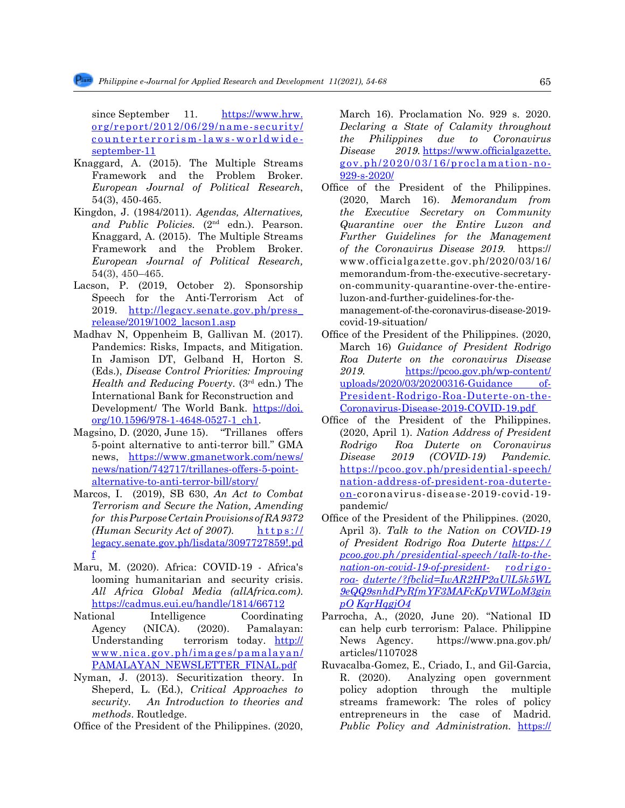since September 11. [https://www.hrw.](https://www.hrw.org/report/2012/06/29/name-security/counterterrorism-laws-worldwide-september-11) [org/report/2012/06/29/name-security/](https://www.hrw.org/report/2012/06/29/name-security/counterterrorism-laws-worldwide-september-11) [counterterrorism-laws-worldwide](https://www.hrw.org/report/2012/06/29/name-security/counterterrorism-laws-worldwide-september-11)[september-11](https://www.hrw.org/report/2012/06/29/name-security/counterterrorism-laws-worldwide-september-11)

- Knaggard, A. (2015). The Multiple Streams Framework and the Problem Broker. *European Journal of Political Research*, 54(3), 450-465.
- Kingdon, J. (1984/2011). *Agendas, Alternatives,*  and Public Policies. (2<sup>nd</sup> edn.). Pearson. Knaggard, A. (2015). The Multiple Streams Framework and the Problem Broker. *European Journal of Political Research,*  54(3), 450–465.
- Lacson, P. (2019, October 2). Sponsorship Speech for the Anti-Terrorism Act of 2019. [http://legacy.senate.gov.ph/press\\_](http://legacy.senate.gov.ph/press_release/2019/1002_lacson1.asp) [release/2019/1002\\_lacson1.asp](http://legacy.senate.gov.ph/press_release/2019/1002_lacson1.asp)
- Madhav N, Oppenheim B, Gallivan M. (2017). Pandemics: Risks, Impacts, and Mitigation. In Jamison DT, Gelband H, Horton S. (Eds.), *Disease Control Priorities: Improving Health and Reducing Poverty*. (3rd edn.) The International Bank for Reconstruction and Development/ The World Bank. [https://doi.](https://doi.org/10.1596/978-1-4648-0527-1_ch1) [org/10.1596/978-1-4648-0527-1\\_ch1](https://doi.org/10.1596/978-1-4648-0527-1_ch1).
- Magsino, D. (2020, June 15). "Trillanes offers 5-point alternative to anti-terror bill." GMA news, [https://www.gmanetwork.com/news/](https://www.gmanetwork.com/news/news/nation/742717/trillanes-offers-%095-point-%09alternative-to-anti-terror-bill/story/) [news/nation/742717/trillanes-offers-5-point](https://www.gmanetwork.com/news/news/nation/742717/trillanes-offers-%095-point-%09alternative-to-anti-terror-bill/story/)[alternative-to-anti-terror-bill/story/](https://www.gmanetwork.com/news/news/nation/742717/trillanes-offers-%095-point-%09alternative-to-anti-terror-bill/story/)
- Marcos, I. (2019), SB 630, *An Act to Combat Terrorism and Secure the Nation, Amending for this Purpose Certain Provisions of RA 9372 (Human Security Act of 2007)*. [https://](https://legacy.senate.gov.ph/lisdata/3097727859!.pdf) [legacy.senate.gov.ph/lisdata/3097727859!.pd](https://legacy.senate.gov.ph/lisdata/3097727859!.pdf) [f](https://legacy.senate.gov.ph/lisdata/3097727859!.pdf)
- Maru, M. (2020). Africa: COVID-19 Africa's looming humanitarian and security crisis. *All Africa Global Media (allAfrica.com)*. <https://cadmus.eui.eu/handle/1814/66712>
- National Intelligence Coordinating Agency (NICA). (2020). Pamalayan: Understanding terrorism today. [http://](http://www.nica.gov.ph/images/pamalayan/PAMALAYAN_NEWSLETTER_FINAL.pdf) [www.nica.gov.ph/images/pamalayan/](http://www.nica.gov.ph/images/pamalayan/PAMALAYAN_NEWSLETTER_FINAL.pdf) [PAMALAYAN\\_NEWSLETTER\\_FINAL.pdf](http://www.nica.gov.ph/images/pamalayan/PAMALAYAN_NEWSLETTER_FINAL.pdf)
- Nyman, J. (2013). Securitization theory. In Sheperd, L. (Ed.), *Critical Approaches to security. An Introduction to theories and methods*. Routledge.
- Office of the President of the Philippines. (2020,

March 16). Proclamation No. 929 s. 2020. *Declaring a State of Calamity throughout the Philippines due to Coronavirus Disease 2019.* [https://www.officialgazette.](https://www.officialgazette.gov.ph/2020/03/16/proclamation-no-929-s-2020/) [gov.ph/2020/03/16/proclamation-no-](https://www.officialgazette.gov.ph/2020/03/16/proclamation-no-929-s-2020/)[929-s-2020/](https://www.officialgazette.gov.ph/2020/03/16/proclamation-no-929-s-2020/)

- Office of the President of the Philippines. (2020, March 16). *Memorandum from the Executive Secretary on Community Quarantine over the Entire Luzon and Further Guidelines for the Management of the Coronavirus Disease 2019.* https:// www.officialgazette.gov.ph/2020/03/16/ memorandum-from-the-executive-secretaryon-community-quarantine-over-the-entireluzon-and-further-guidelines-for-themanagement-of-the-coronavirus-disease-2019 covid-19-situation/
- Office of the President of the Philippines. (2020, March 16) *Guidance of President Rodrigo Roa Duterte on the coronavirus Disease 2019.* [https://pcoo.gov.ph/wp-content/](https://pcoo.gov.ph/wp-%09content/uploads/2020/03/20200316-Guidance-of-%20President-Rodrigo-Roa-%09Duterte-on-%09the-Coronavirus-Disease-2019-COVID-19.pdf) [uploads/2020/03/20200316-Guidance of-](https://pcoo.gov.ph/wp-%09content/uploads/2020/03/20200316-Guidance-of-%20President-Rodrigo-Roa-%09Duterte-on-%09the-Coronavirus-Disease-2019-COVID-19.pdf)[President-Rodrigo-Roa-Duterte-on-the-](https://pcoo.gov.ph/wp-%09content/uploads/2020/03/20200316-Guidance-of-%20President-Rodrigo-Roa-%09Duterte-on-%09the-Coronavirus-Disease-2019-COVID-19.pdf)[Coronavirus-Disease-2019-COVID-19.pdf](https://pcoo.gov.ph/wp-%09content/uploads/2020/03/20200316-Guidance-of-%20President-Rodrigo-Roa-%09Duterte-on-%09the-Coronavirus-Disease-2019-COVID-19.pdf)
- Office of the President of the Philippines. (2020, April 1). *Nation Address of President Rodrigo Roa Duterte on Coronavirus Disease 2019 (COVID-19) Pandemic.* [https://pcoo.gov.ph/presidential-speech/](https://pcoo.gov.ph/presidential-speech/nation-address-of-president-roa-duterte-on-) [nation-address-of-president-roa-duterte](https://pcoo.gov.ph/presidential-speech/nation-address-of-president-roa-duterte-on-)[on-](https://pcoo.gov.ph/presidential-speech/nation-address-of-president-roa-duterte-on-)coronavirus-disease-2019-covid-19 pandemic/
- Office of the President of the Philippines. (2020, April 3). *Talk to the Nation on COVID-19 of President Rodrigo Roa Duterte [https://](https://pcoo.gov.ph/presidential-speech/talk-to-the-nation-on-covid-19-of-president-rodrigo-roa-duterte/?fbclid=IwAR2HP2aUlL5k5WL9eQQ9snhdPyRfmYF3MAFcKpVIWLoM3ginpOKqrHqgjO4) [pcoo.gov.ph/presidential-speech/talk-to-the](https://pcoo.gov.ph/presidential-speech/talk-to-the-nation-on-covid-19-of-president-rodrigo-roa-duterte/?fbclid=IwAR2HP2aUlL5k5WL9eQQ9snhdPyRfmYF3MAFcKpVIWLoM3ginpOKqrHqgjO4)[nation-on-covid-19-of-president-](https://pcoo.gov.ph/presidential-speech/talk-to-the-nation-on-covid-19-of-president-rodrigo-roa-duterte/?fbclid=IwAR2HP2aUlL5k5WL9eQQ9snhdPyRfmYF3MAFcKpVIWLoM3ginpOKqrHqgjO4) rodrigoroa- [duterte/?fbclid=IwAR2HP2aUlL5k5WL](https://pcoo.gov.ph/presidential-speech/talk-to-the-nation-on-covid-19-of-president-rodrigo-roa-duterte/?fbclid=IwAR2HP2aUlL5k5WL9eQQ9snhdPyRfmYF3MAFcKpVIWLoM3ginpOKqrHqgjO4) [9eQQ9snhdPyRfmYF3MAFcKpVIWLoM3gin](https://pcoo.gov.ph/presidential-speech/talk-to-the-nation-on-covid-19-of-president-rodrigo-roa-duterte/?fbclid=IwAR2HP2aUlL5k5WL9eQQ9snhdPyRfmYF3MAFcKpVIWLoM3ginpOKqrHqgjO4) pO [KqrHqgjO4](https://pcoo.gov.ph/presidential-speech/talk-to-the-nation-on-covid-19-of-president-rodrigo-roa-duterte/?fbclid=IwAR2HP2aUlL5k5WL9eQQ9snhdPyRfmYF3MAFcKpVIWLoM3ginpOKqrHqgjO4)*
- Parrocha, A., (2020, June 20). "National ID can help curb terrorism: Palace. Philippine News Agency. https://www.pna.gov.ph/ articles/1107028
- Ruvacalba-Gomez, E., Criado, I., and Gil-Garcia, R. (2020). Analyzing open government policy adoption through the multiple streams framework: The roles of policy entrepreneurs in the case of Madrid. *Public Policy and Administration.* [https://](https://doi.org/10.1177/0952076720936349)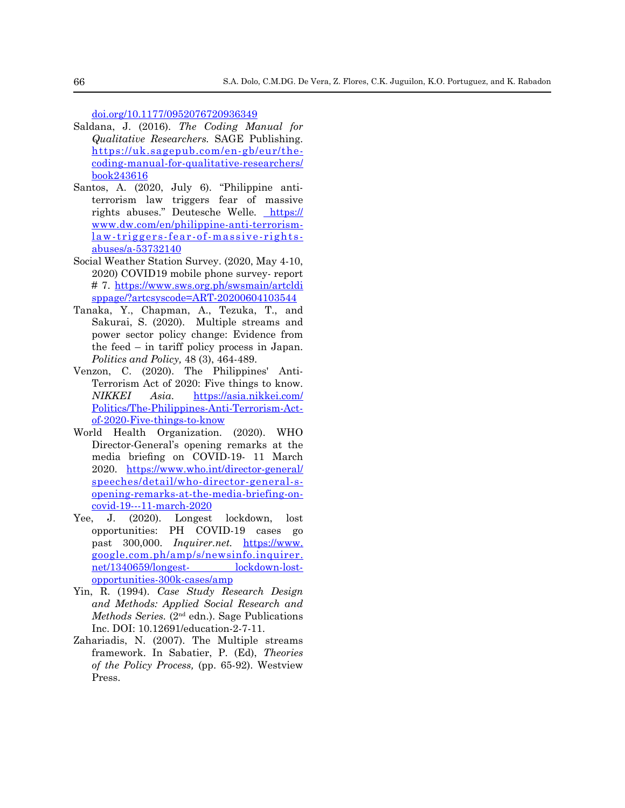[doi.org/10.1177/0952076720936349](https://doi.org/10.1177/0952076720936349)

- Saldana, J. (2016). *The Coding Manual for Qualitative Researchers.* SAGE Publishing. [https://uk.sagepub.com/en-gb/eur/the](https://uk.sagepub.com/en-gb/eur/the-coding-manual-for-qualitative-researchers/book243616)[coding-manual-for-qualitative-researchers/](https://uk.sagepub.com/en-gb/eur/the-coding-manual-for-qualitative-researchers/book243616) [book243616](https://uk.sagepub.com/en-gb/eur/the-coding-manual-for-qualitative-researchers/book243616)
- Santos, A. (2020, July 6). "Philippine antiterrorism law triggers fear of massive rights abuses." Deutesche Welle*.* [https://](https://www.dw.com/en/philippine-anti-terrorism-law-triggers-fear-of-massive-rights-abuses/a-53732140) [www.dw.com/en/philippine-anti-terrorism](https://www.dw.com/en/philippine-anti-terrorism-law-triggers-fear-of-massive-rights-abuses/a-53732140)[law-triggers-fear-of-massive-rights](https://www.dw.com/en/philippine-anti-terrorism-law-triggers-fear-of-massive-rights-abuses/a-53732140)[abuses/a-53732140](https://www.dw.com/en/philippine-anti-terrorism-law-triggers-fear-of-massive-rights-abuses/a-53732140)
- Social Weather Station Survey. (2020, May 4-10, 2020) COVID19 mobile phone survey- report # 7. [https://www.sws.org.ph/swsmain/artcldi](https://www.sws.org.ph/swsmain/artcldisppage/?artcsyscode=ART-20200604103544) [sppage/?artcsyscode=ART-20200604103544](https://www.sws.org.ph/swsmain/artcldisppage/?artcsyscode=ART-20200604103544)
- Tanaka, Y., Chapman, A., Tezuka, T., and Sakurai, S. (2020). Multiple streams and power sector policy change: Evidence from the feed – in tariff policy process in Japan. *Politics and Policy,* 48 (3), 464-489.
- Venzon, C. (2020). The Philippines' Anti-Terrorism Act of 2020: Five things to know. *NIKKEI Asia*. [https://asia.nikkei.com/](https://asia.nikkei.com/Politics/The-Philippines-Anti-Terrorism-Act-of-2020-Five-things-to-know) [Politics/The-Philippines-Anti-Terrorism-Act](https://asia.nikkei.com/Politics/The-Philippines-Anti-Terrorism-Act-of-2020-Five-things-to-know)[of-2020-Five-things-to-know](https://asia.nikkei.com/Politics/The-Philippines-Anti-Terrorism-Act-of-2020-Five-things-to-know)
- World Health Organization. (2020). WHO Director-General's opening remarks at the media briefing on COVID-19- 11 March 2020. [https://www.who.int/director-general/](https://www.who.int/director-general/speeches/detail/who-director-general-s-opening-remarks-at-the-media-briefing-on-covid-19---11-march-2020) [speeches/detail/who-director-general-s](https://www.who.int/director-general/speeches/detail/who-director-general-s-opening-remarks-at-the-media-briefing-on-covid-19---11-march-2020)[opening-remarks-at-the-media-briefing-on](https://www.who.int/director-general/speeches/detail/who-director-general-s-opening-remarks-at-the-media-briefing-on-covid-19---11-march-2020)[covid-19---11-march-2020](https://www.who.int/director-general/speeches/detail/who-director-general-s-opening-remarks-at-the-media-briefing-on-covid-19---11-march-2020)
- Yee, J. (2020). Longest lockdown, lost opportunities: PH COVID-19 cases go past 300,000. *Inquirer.net.* [https://www.](https://www.google.com.ph/amp/s/newsinfo.inquirer.net/1340659/longest-%20lockdown-lost-opportunities-300k-cases/amp) [google.com.ph/amp/s/newsinfo.inquirer.](https://www.google.com.ph/amp/s/newsinfo.inquirer.net/1340659/longest-%20lockdown-lost-opportunities-300k-cases/amp) [net/1340659/longest- lockdown-lost](https://www.google.com.ph/amp/s/newsinfo.inquirer.net/1340659/longest-%20lockdown-lost-opportunities-300k-cases/amp)[opportunities-300k-cases/amp](https://www.google.com.ph/amp/s/newsinfo.inquirer.net/1340659/longest-%20lockdown-lost-opportunities-300k-cases/amp)
- Yin, R. (1994). *Case Study Research Design and Methods: Applied Social Research and Methods Series.* (2nd edn.). Sage Publications Inc. DOI: 10.12691/education-2-7-11.
- Zahariadis, N. (2007). The Multiple streams framework. In Sabatier, P. (Ed), *Theories of the Policy Process,* (pp. 65-92). Westview Press.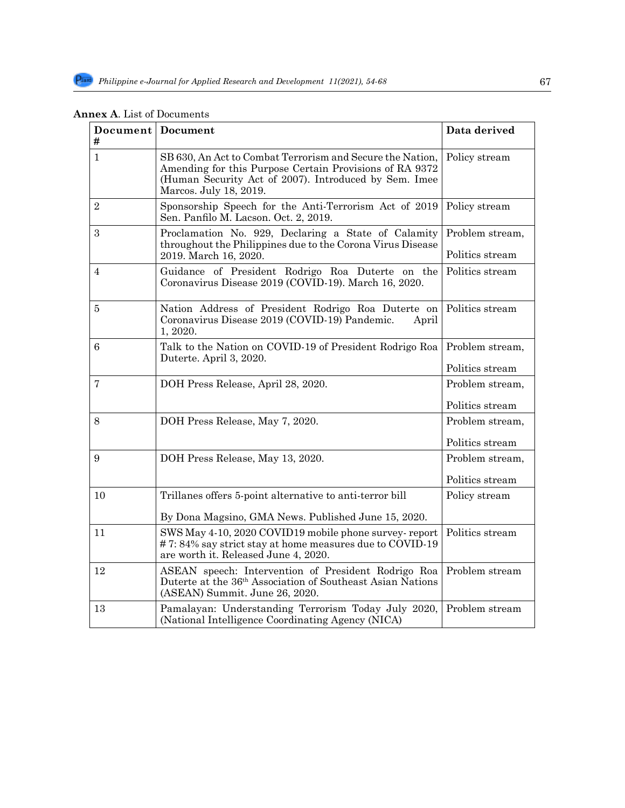## **Annex A**. List of Documents

| Document Document<br># |                                                                                                                                                                                                         | Data derived                       |
|------------------------|---------------------------------------------------------------------------------------------------------------------------------------------------------------------------------------------------------|------------------------------------|
| $\mathbf{1}$           | SB 630, An Act to Combat Terrorism and Secure the Nation,<br>Amending for this Purpose Certain Provisions of RA 9372<br>(Human Security Act of 2007). Introduced by Sem. Imee<br>Marcos. July 18, 2019. | Policy stream                      |
| $\overline{2}$         | Sponsorship Speech for the Anti-Terrorism Act of 2019<br>Sen. Panfilo M. Lacson. Oct. 2, 2019.                                                                                                          | Policy stream                      |
| 3                      | Proclamation No. 929, Declaring a State of Calamity<br>throughout the Philippines due to the Corona Virus Disease<br>2019. March 16, 2020.                                                              | Problem stream,<br>Politics stream |
| 4                      | Guidance of President Rodrigo Roa Duterte on the<br>Coronavirus Disease 2019 (COVID-19). March 16, 2020.                                                                                                | Politics stream                    |
| $\overline{5}$         | Nation Address of President Rodrigo Roa Duterte on<br>Coronavirus Disease 2019 (COVID-19) Pandemic.<br>April<br>1, 2020.                                                                                | Politics stream                    |
| $\,6$                  | Talk to the Nation on COVID-19 of President Rodrigo Roa<br>Duterte. April 3, 2020.                                                                                                                      | Problem stream,<br>Politics stream |
| 7                      | DOH Press Release, April 28, 2020.                                                                                                                                                                      | Problem stream,<br>Politics stream |
| 8                      | DOH Press Release, May 7, 2020.                                                                                                                                                                         | Problem stream,<br>Politics stream |
| 9                      | DOH Press Release, May 13, 2020.                                                                                                                                                                        | Problem stream,<br>Politics stream |
| 10                     | Trillanes offers 5-point alternative to anti-terror bill<br>By Dona Magsino, GMA News. Published June 15, 2020.                                                                                         | Policy stream                      |
| 11                     | SWS May 4-10, 2020 COVID19 mobile phone survey-report<br>#7:84% say strict stay at home measures due to COVID-19<br>are worth it. Released June 4, 2020.                                                | Politics stream                    |
| 12                     | ASEAN speech: Intervention of President Rodrigo Roa<br>Duterte at the 36 <sup>th</sup> Association of Southeast Asian Nations<br>(ASEAN) Summit. June 26, 2020.                                         | Problem stream                     |
| 13                     | Pamalayan: Understanding Terrorism Today July 2020,<br>(National Intelligence Coordinating Agency (NICA)                                                                                                | Problem stream                     |